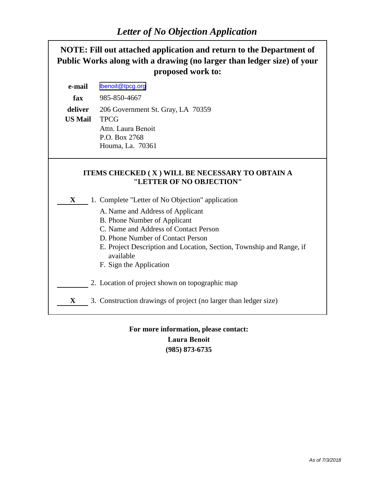

## **For more information, please contact: Laura Benoit (985) 873-6735**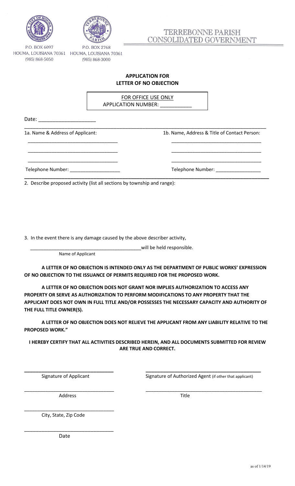



# TERREBONNE PARISH CONSOLIDATED GOVERNMENT

P.O. BOX 6097 HOUMA, LOUISIANA 70361 HOUMA, LOUISIANA 70361 (985) 868-5050

(985) 868-3000

### **APPLICATION FOR LETTER OF NO OBJECTION**

\_\_\_\_\_\_\_\_\_\_\_\_\_\_\_\_\_\_\_\_\_\_\_\_\_\_\_\_\_\_\_\_\_\_\_\_\_\_\_\_\_\_\_\_\_\_\_\_\_\_\_\_\_\_\_\_\_\_\_\_\_\_\_\_\_\_\_\_\_\_\_\_\_\_\_\_\_\_\_\_\_\_\_\_

\_\_\_\_\_\_\_\_\_\_\_\_\_\_\_\_\_\_\_\_\_\_\_\_\_\_\_\_\_\_\_\_\_\_ \_\_\_\_\_\_\_\_\_\_\_\_\_\_\_\_\_\_\_\_\_\_\_\_\_\_\_\_\_\_\_\_\_\_

\_\_\_\_\_\_\_\_\_\_\_\_\_\_\_\_\_\_\_\_\_\_\_\_\_\_\_\_\_\_\_\_\_\_ \_\_\_\_\_\_\_\_\_\_\_\_\_\_\_\_\_\_\_\_\_\_\_\_\_\_\_\_\_\_\_\_\_\_

\_\_\_\_\_\_\_\_\_\_\_\_\_\_\_\_\_\_\_\_\_\_\_\_\_\_\_\_\_\_\_\_\_\_ \_\_\_\_\_\_\_\_\_\_\_\_\_\_\_\_\_\_\_\_\_\_\_\_\_\_\_\_\_\_\_\_\_\_

FOR OFFICE USE ONLY APPLICATION NUMBER: \_\_\_\_\_\_\_\_\_\_\_

Date: \_\_\_\_\_\_\_\_\_\_\_\_\_\_\_\_\_\_\_\_

1a. Name & Address of Applicant: 1b. Name, Address & Title of Contact Person:

Telephone Number: \_\_\_\_\_\_\_\_\_\_\_\_\_\_\_\_\_\_\_ Telephone Number: \_\_\_\_\_\_\_\_\_\_\_\_\_\_\_\_\_

**\_\_\_\_\_\_\_\_\_\_\_\_\_\_\_\_\_\_\_\_\_\_\_\_\_\_\_\_\_\_\_\_\_\_\_\_\_\_\_\_\_\_\_\_\_\_\_\_\_\_\_\_\_\_\_\_\_\_\_\_\_\_\_\_\_\_\_\_\_\_\_\_\_\_\_\_\_\_\_\_\_\_\_\_\_** 2. Describe proposed activity (list all sections by township and range):

3. In the event there is any damage caused by the above describer activity,

\_\_\_\_\_\_\_\_\_\_\_\_\_\_\_\_\_\_\_\_\_\_\_\_\_\_\_\_\_\_\_\_\_\_\_\_\_\_\_\_\_\_will be held responsible.

Name of Applicant

**A LETTER OF NO OBJECTION IS INTENDED ONLY AS THE DEPARTMENT OF PUBLIC WORKS' EXPRESSION OF NO OBJECTION TO THE ISSUANCE OF PERMITS REQUIRED FOR THE PROPOSED WORK.**

**A LETTER OF NO OBJECTION DOES NOT GRANT NOR IMPLIES AUTHORIZATION TO ACCESS ANY PROPERTY OR SERVE AS AUTHORIZATION TO PERFORM MODIFICATIONS TO ANY PROPERTY THAT THE APPLICANT DOES NOT OWN IN FULL TITLE AND/OR POSSESSES THE NECESSARY CAPACITY AND AUTHORITY OF THE FULL TITLE OWNER(S).**

**A LETTER OF NO OBJECTION DOES NOT RELIEVE THE APPLICANT FROM ANY LIABILITY RELATIVE TO THE PROPOSED WORK."**

**I HEREBY CERTIFY THAT ALL ACTIVITIES DESCRIBED HEREIN, AND ALL DOCUMENTS SUBMITTED FOR REVIEW ARE TRUE AND CORRECT.**

**\_\_\_\_\_\_\_\_\_\_\_\_\_\_\_\_\_\_\_\_\_\_\_\_\_\_\_\_\_\_\_ \_\_\_\_\_\_\_\_\_\_\_\_\_\_\_\_\_\_\_\_\_\_\_\_\_\_\_\_\_\_\_\_\_\_\_\_\_\_\_\_**

\_\_\_\_\_\_\_\_\_\_\_\_\_\_\_\_\_\_\_\_\_\_\_\_\_\_\_\_\_\_\_\_\_\_ \_\_\_\_\_\_\_\_\_\_\_\_\_\_\_\_\_\_\_\_\_\_\_\_\_\_\_\_\_\_\_\_\_\_\_\_\_\_\_\_\_\_\_\_

Signature of Applicant Signature of Authorized Agent (if other that applicant)

Address Title

\_\_\_\_\_\_\_\_\_\_\_\_\_\_\_\_\_\_\_\_\_\_\_\_\_\_\_\_\_\_\_\_\_\_

\_\_\_\_\_\_\_\_\_\_\_\_\_\_\_\_\_\_\_\_\_\_\_\_\_\_\_\_\_\_\_

City, State, Zip Code

Date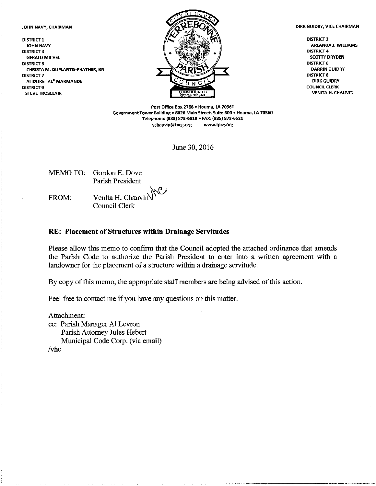JOHN NAVY, CHAIRMAN

**DISTRICT 1** JOHN NAVY **DISTRICT 3 GERALD MICHEL DISTRICT 5** CHRISTA M. DUPLANTIS-PRATHER, RN **DISTRICT 7** ALIDORE "AL" MARMANDE **DISTRICT 9 STEVE TROSCLAIR** 



DIRK GUIDRY, VICE CHAIRMAN

**DISTRICT 2 ARLANDA J. WILLIAMS DISTRICT 4 SCOTTY DRYDEN DISTRICT 6 DARRIN GUIDRY DISTRICT 8 DIRK GUIDRY COUNCIL CLERK VENITA H. CHAUVIN** 

Post Office Box 2768 . Houma, LA 70361 Government Tower Building . 8026 Main Street, Suite 600 . Houma, LA 70360 Telephone: (985) 873-6519 · FAX: (985) 873-6521 vchauvin@tpcg.org www.tpcg.org

June 30, 2016

**MEMO TO:** Gordon E. Dove **Parish President** 

FROM:

Venita H. Chauvin Council Clerk

### RE: Placement of Structures within Drainage Servitudes

Please allow this memo to confirm that the Council adopted the attached ordinance that amends the Parish Code to authorize the Parish President to enter into a written agreement with a landowner for the placement of a structure within a drainage servitude.

By copy of this memo, the appropriate staff members are being advised of this action.

Feel free to contact me if you have any questions on this matter.

Attachment: cc: Parish Manager Al Levron Parish Attorney Jules Hebert Municipal Code Corp. (via email)  $/v$ hc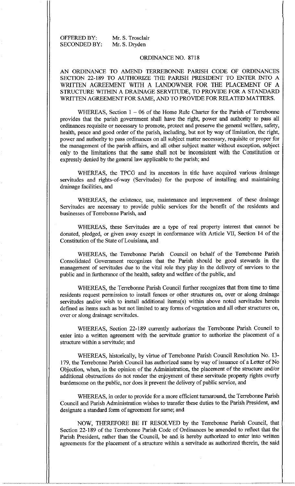OFFERED BY: **SECONDED BY:**  Mr. S. Trosclair Mr. S. Dryden

### ORDINANCE NO. 8718

AN ORDINANCE TO AMEND TERREBONNE PARISH CODE OF ORDINANCES SECTION 22-189 TO AUTHORIZE THE PARISH PRESIDENT TO ENTER INTO A WRITTEN AGREEMENT WITH A LANDOWNER FOR THE PLACEMENT OF A STRUCTURE WITHIN A DRAINAGE SERVITUDE, TO PROVIDE FOR A STANDARD WRITTEN AGREEMENT FOR SAME, AND TO PROVIDE FOR RELATED MATTERS.

WHEREAS, Section  $1 - 06$  of the Home Rule Charter for the Parish of Terrebonne provides that the parish government shall have the right, power and authority to pass all ordinances requisite or necessary to promote, protect and preserve the general welfare, safety, health, peace and good order of the parish, including, but not by way of limitation, the right, power and authority to pass ordinances on all subject matter necessary, requisite or proper for the management of the parish affairs, and all other subject matter without exception, subject only to the limitations that the same shall not be inconsistent with the Constitution or expressly denied by the general law applicable to the parish; and

WHEREAS, the TPCG and its ancestors in title have acquired various drainage servitudes and rights-of-way (Servitudes) for the purpose of installing and maintaining drainage facilities, and

WHEREAS, the existence, use, maintenance and improvement of these drainage Servitudes are necessary to provide public services for the benefit of the residents and businesses of Terrebonne Parish, and

WHEREAS, these Servitudes are a type of real property interest that cannot be donated, pledged, or given away except in conformance with Article VII, Section 14 of the Constitution of the State of Louisiana, and

WHEREAS, the Terrebonne Parish Council on behalf of the Terrebonne Parish Consolidated Government recognizes that the Parish should be good stewards in the management of servitudes due to the vital role they play in the delivery of services to the public and in furtherance of the health, safety and welfare of the public, and

WHEREAS, the Terrebonne Parish Council further recognizes that from time to time residents request permission to install fences or other structures on, over or along drainage servitudes and/or wish to install additional items(s) within above noted servitudes herein defined as items such as but not limited to any forms of vegetation and all other structures on, over or along drainage servitudes.

WHEREAS, Section 22-189 currently authorizes the Terrebonne Parish Council to enter into a written agreement with the servitude grantor to authorize the placement of a structure within a servitude; and

WHEREAS, historically, by virtue of Terrebonne Parish Council Resolution No. 13-179, the Terrebonne Parish Council has authorized same by way of issuance of a Letter of No Objection, when, in the opinion of the Administration, the placement of the structure and/or additional obstructions do not render the enjoyment of these servitude property rights overly burdensome on the public, nor does it prevent the delivery of public service, and

WHEREAS, in order to provide for a more efficient turnaround, the Terrebonne Parish Council and Parish Administration wishes to transfer these duties to the Parish President, and designate a standard form of agreement for same; and

NOW, THEREFORE BE IT RESOLVED by the Terrebonne Parish Council, that Section 22-189 of the Terrebonne Parish Code of Ordinances be amended to reflect that the Parish President, rather than the Council, be and is hereby authorized to enter into written agreements for the placement of a structure within a servitude as authorized therein, the said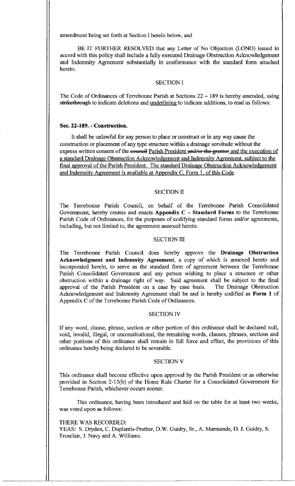amendment being set forth at Section I herein below, and

BE IT FURTHER RESOLVED that any Letter of No Objection (LONO) issued in accord with this policy shall include a fully executed Drainage Obstruction Acknowledgement and Indemnity Agreement substantially in conformance with the standard form attached hereto.

#### **SECTION I**

The Code of Ordinances of Terrebonne Parish at Sections  $22 - 189$  is hereby amended, using strikethrough to indicate deletions and <u>underlining</u> to indicate additions, to read as follows:

### Sec. 22-189. - Construction.

It shall be unlawful for any person to place or construct or in any way cause the construction or placement of any type structure within a drainage servitude without the express written consent of the council Parish President and/or the grantor and the execution of a standard Drainage Obstruction Acknowledgement and Indemnity Agreement, subject to the final approval of the Parish President. The standard Drainage Obstruction Acknowledgement and Indemnity Agreement is available at Appendix C, Form 1, of this Code.

#### **SECTION II**

The Terrebonne Parish Council, on behalf of the Terrebonne Parish Consolidated Government, hereby creates and enacts Appendix  $C -$  Standard Forms to the Terrebonne Parish Code of Ordinances, for the purposes of codifying standard forms and/or agreements, including, but not limited to, the agreement annexed hereto.

#### **SECTION III**

The Terrebonne Parish Council does hereby approve the Drainage Obstruction Acknowledgment and Indemnity Agreement, a copy of which is annexed hereto and incorporated herein, to serve as the standard form of agreement between the Terrebonne Parish Consolidated Government and any person wishing to place a structure or other obstruction within a drainage right of way. Said agreement shall be subject to the final approval of the Parish President on a case by case basis. The Drainage Obstruction Acknowledgement and Indemnity Agreement shall be and is hereby codified as Form 1 of Appendix C of the Terrebonne Parish Code of Ordinances.

#### **SECTION IV**

If any word, clause, phrase, section or other portion of this ordinance shall be declared null, void, invalid, illegal, or unconstitutional, the remaining words, clauses, phrases, sections and other portions of this ordinance shall remain in full force and effect, the provisions of this ordinance hereby being declared to be severable.

#### **SECTION V**

This ordinance shall become effective upon approval by the Parish President or as otherwise provided in Section 2-13(b) of the Home Rule Charter for a Consolidated Government for Terrebonne Parish, whichever occurs sooner.

This ordinance, having been introduced and laid on the table for at least two weeks, was voted upon as follows:

#### THERE WAS RECORDED:

YEAS: S. Dryden, C. Duplantis-Prather, D.W. Guidry, Sr., A. Marmande, D. J. Guidry, S. Trosclair, J. Navy and A. Williams.